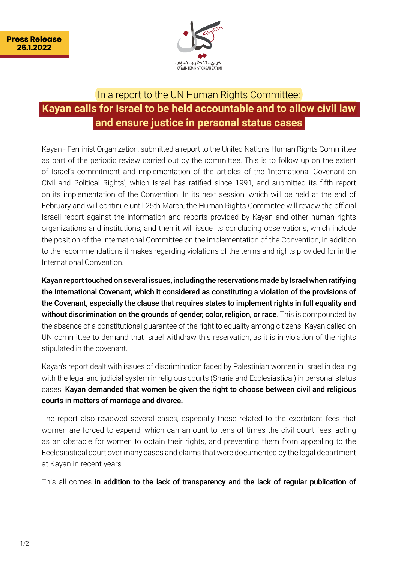

## In a report to the UN Human Rights Committee: **Kayan calls for Israel to be held accountable and to allow civil law and ensure justice in personal status cases**

Kayan - Feminist Organization, submitted a report to the United Nations Human Rights Committee as part of the periodic review carried out by the committee. This is to follow up on the extent of Israel's commitment and implementation of the articles of the 'International Covenant on Civil and Political Rights', which Israel has ratified since 1991, and submitted its fifth report on its implementation of the Convention. In its next session, which will be held at the end of February and will continue until 25th March, the Human Rights Committee will review the official Israeli report against the information and reports provided by Kayan and other human rights organizations and institutions, and then it will issue its concluding observations, which include the position of the International Committee on the implementation of the Convention, in addition to the recommendations it makes regarding violations of the terms and rights provided for in the International Convention.

Kayan report touched on several issues, including the reservations made by Israel when ratifying the International Covenant, which it considered as constituting a violation of the provisions of the Covenant, especially the clause that requires states to implement rights in full equality and without discrimination on the grounds of gender, color, religion, or race. This is compounded by the absence of a constitutional quarantee of the right to equality among citizens. Kayan called on UN committee to demand that Israel withdraw this reservation, as it is in violation of the rights stipulated in the covenant.

Kayan's report dealt with issues of discrimination faced by Palestinian women in Israel in dealing with the legal and judicial system in religious courts (Sharia and Ecclesiastical) in personal status cases. Kayan demanded that women be given the right to choose between civil and religious courts in matters of marriage and divorce.

The report also reviewed several cases, especially those related to the exorbitant fees that women are forced to expend, which can amount to tens of times the civil court fees, acting as an obstacle for women to obtain their rights, and preventing them from appealing to the Ecclesiastical court over many cases and claims that were documented by the legal department at Kayan in recent years.

This all comes in addition to the lack of transparency and the lack of regular publication of